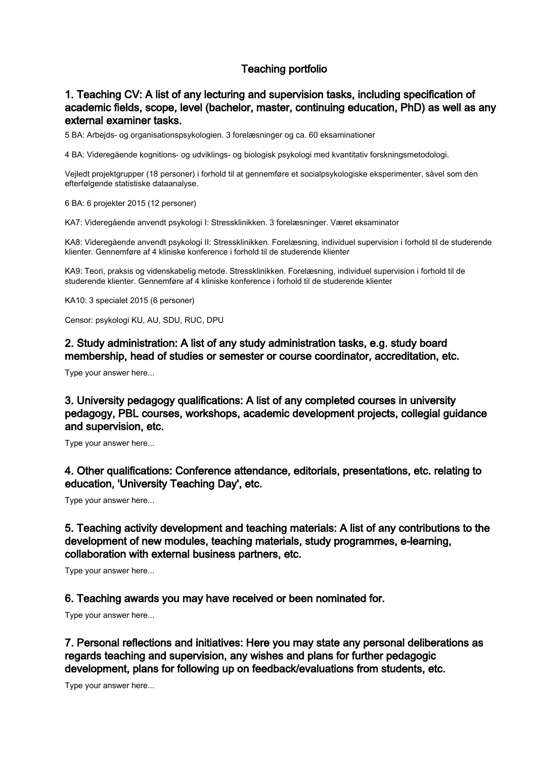## Teaching portfolio

## 1. Teaching CV: A list of any lecturing and supervision tasks, including specification of academic fields, scope, level (bachelor, master, continuing education, PhD) as well as any external examiner tasks.

5 BA: Arbejds- og organisationspsykologien. 3 forelæsninger og ca. 60 eksaminationer

4 BA: Videregående kognitions- og udviklings- og biologisk psykologi med kvantitativ forskningsmetodologi.

Vejledt projektgrupper (18 personer) i forhold til at gennemføre et socialpsykologiske eksperimenter, såvel som den efterfølgende statistiske dataanalyse.

6 BA: 6 projekter 2015 (12 personer)

KA7: Videregående anvendt psykologi I: Stressklinikken. 3 forelæsninger. Været eksaminator

KA8: Videregående anvendt psykologi II: Stressklinikken. Forelæsning, individuel supervision i forhold til de studerende klienter. Gennemføre af 4 kliniske konference i forhold til de studerende klienter

KA9: Teori, praksis og videnskabelig metode. Stressklinikken. Forelæsning, individuel supervision i forhold til de studerende klienter. Gennemføre af 4 kliniske konference i forhold til de studerende klienter

KA10: 3 specialet 2015 (6 personer)

Censor: psykologi KU, AU, SDU, RUC, DPU

2. Study administration: A list of any study administration tasks, e.g. study board membership, head of studies or semester or course coordinator, accreditation, etc.

Type your answer here...

3. University pedagogy qualifications: A list of any completed courses in university pedagogy, PBL courses, workshops, academic development projects, collegial guidance and supervision, etc.

Type your answer here...

4. Other qualifications: Conference attendance, editorials, presentations, etc. relating to education, 'University Teaching Day', etc.

Type your answer here...

5. Teaching activity development and teaching materials: A list of any contributions to the development of new modules, teaching materials, study programmes, e-learning, collaboration with external business partners, etc.

Type your answer here...

6. Teaching awards you may have received or been nominated for.

Type your answer here...

7. Personal reflections and initiatives: Here you may state any personal deliberations as regards teaching and supervision, any wishes and plans for further pedagogic development, plans for following up on feedback/evaluations from students, etc.

Type your answer here...